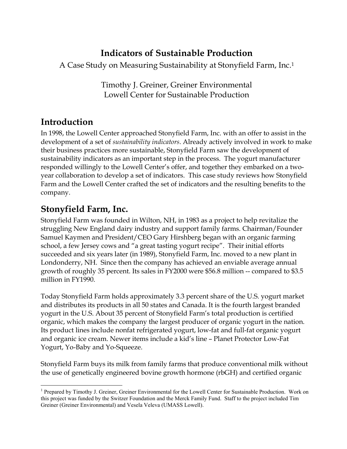## **Indicators of Sustainable Production**

A Case Study on Measuring Sustainability at Stonyfield Farm, Inc.1

Timothy J. Greiner, Greiner Environmental Lowell Center for Sustainable Production

# **Introduction**

In 1998, the Lowell Center approached Stonyfield Farm, Inc. with an offer to assist in the development of a set of *sustainability indicators*. Already actively involved in work to make their business practices more sustainable, Stonyfield Farm saw the development of sustainability indicators as an important step in the process. The yogurt manufacturer responded willingly to the Lowell Center's offer, and together they embarked on a twoyear collaboration to develop a set of indicators. This case study reviews how Stonyfield Farm and the Lowell Center crafted the set of indicators and the resulting benefits to the company.

# **Stonyfield Farm, Inc.**

Stonyfield Farm was founded in Wilton, NH, in 1983 as a project to help revitalize the struggling New England dairy industry and support family farms. Chairman/Founder Samuel Kaymen and President/CEO Gary Hirshberg began with an organic farming school, a few Jersey cows and "a great tasting yogurt recipe". Their initial efforts succeeded and six years later (in 1989), Stonyfield Farm, Inc. moved to a new plant in Londonderry, NH. Since then the company has achieved an enviable average annual growth of roughly 35 percent. Its sales in FY2000 were \$56.8 million -- compared to \$3.5 million in FY1990.

Today Stonyfield Farm holds approximately 3.3 percent share of the U.S. yogurt market and distributes its products in all 50 states and Canada. It is the fourth largest branded yogurt in the U.S. About 35 percent of Stonyfield Farm's total production is certified organic, which makes the company the largest producer of organic yogurt in the nation. Its product lines include nonfat refrigerated yogurt, low-fat and full-fat organic yogurt and organic ice cream. Newer items include a kid's line – Planet Protector Low-Fat Yogurt, Yo-Baby and Yo-Squeeze.

Stonyfield Farm buys its milk from family farms that produce conventional milk without the use of genetically engineered bovine growth hormone (rbGH) and certified organic

 $\overline{a}$ <sup>1</sup> Prepared by Timothy J. Greiner, Greiner Environmental for the Lowell Center for Sustainable Production. Work on this project was funded by the Switzer Foundation and the Merck Family Fund. Staff to the project included Tim Greiner (Greiner Environmental) and Vesela Veleva (UMASS Lowell).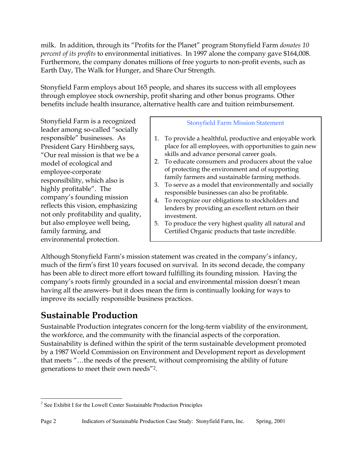milk. In addition, through its "Profits for the Planet" program Stonyfield Farm *donates 10 percent of its profits* to environmental initiatives. In 1997 alone the company gave \$164,008. Furthermore, the company donates millions of free yogurts to non-profit events, such as Earth Day, The Walk for Hunger, and Share Our Strength.

Stonyfield Farm employs about 165 people, and shares its success with all employees through employee stock ownership, profit sharing and other bonus programs. Other benefits include health insurance, alternative health care and tuition reimbursement.

Stonyfield Farm is a recognized leader among so-called "socially responsible" businesses. As President Gary Hirshberg says, "Our real mission is that we be a model of ecological and employee-corporate responsibility, which also is highly profitable". The company's founding mission reflects this vision, emphasizing not only profitability and quality, but also employee well being, family farming, and environmental protection.

### Stonyfield Farm Mission Statement

- 1. To provide a healthful, productive and enjoyable work place for all employees, with opportunities to gain new skills and advance personal career goals.
- 2. To educate consumers and producers about the value of protecting the environment and of supporting family farmers and sustainable farming methods.
- 3. To serve as a model that environmentally and socially responsible businesses can also be profitable.
- 4. To recognize our obligations to stockholders and lenders by providing an excellent return on their investment.
- 5. To produce the very highest quality all natural and Certified Organic products that taste incredible.

Although Stonyfield Farm's mission statement was created in the company's infancy, much of the firm's first 10 years focused on survival. In its second decade, the company has been able to direct more effort toward fulfilling its founding mission. Having the company's roots firmly grounded in a social and environmental mission doesn't mean having all the answers- but it does mean the firm is continually looking for ways to improve its socially responsible business practices.

## **Sustainable Production**

Sustainable Production integrates concern for the long-term viability of the environment, the workforce, and the community with the financial aspects of the corporation. Sustainability is defined within the spirit of the term sustainable development promoted by a 1987 World Commission on Environment and Development report as development that meets "…the needs of the present, without compromising the ability of future generations to meet their own needs"2.

 $\overline{a}$ <sup>2</sup> See Exhibit I for the Lowell Center Sustainable Production Principles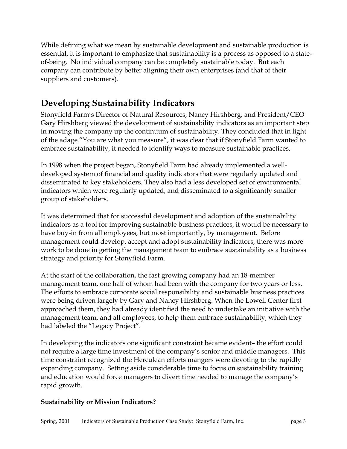While defining what we mean by sustainable development and sustainable production is essential, it is important to emphasize that sustainability is a process as opposed to a stateof-being. No individual company can be completely sustainable today. But each company can contribute by better aligning their own enterprises (and that of their suppliers and customers).

# **Developing Sustainability Indicators**

Stonyfield Farm's Director of Natural Resources, Nancy Hirshberg, and President/CEO Gary Hirshberg viewed the development of sustainability indicators as an important step in moving the company up the continuum of sustainability. They concluded that in light of the adage "You are what you measure", it was clear that if Stonyfield Farm wanted to embrace sustainability, it needed to identify ways to measure sustainable practices.

In 1998 when the project began, Stonyfield Farm had already implemented a welldeveloped system of financial and quality indicators that were regularly updated and disseminated to key stakeholders. They also had a less developed set of environmental indicators which were regularly updated, and disseminated to a significantly smaller group of stakeholders.

It was determined that for successful development and adoption of the sustainability indicators as a tool for improving sustainable business practices, it would be necessary to have buy-in from all employees, but most importantly, by management. Before management could develop, accept and adopt sustainability indicators, there was more work to be done in getting the management team to embrace sustainability as a business strategy and priority for Stonyfield Farm.

At the start of the collaboration, the fast growing company had an 18-member management team, one half of whom had been with the company for two years or less. The efforts to embrace corporate social responsibility and sustainable business practices were being driven largely by Gary and Nancy Hirshberg. When the Lowell Center first approached them, they had already identified the need to undertake an initiative with the management team, and all employees, to help them embrace sustainability, which they had labeled the "Legacy Project".

In developing the indicators one significant constraint became evident– the effort could not require a large time investment of the company's senior and middle managers. This time constraint recognized the Herculean efforts mangers were devoting to the rapidly expanding company. Setting aside considerable time to focus on sustainability training and education would force managers to divert time needed to manage the company's rapid growth.

### **Sustainability or Mission Indicators?**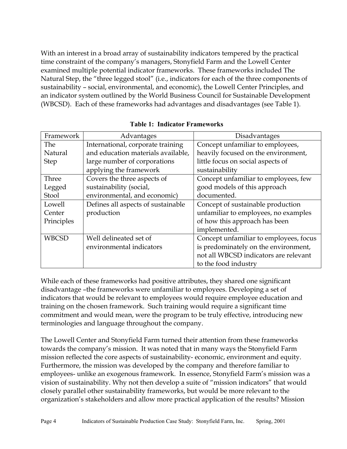With an interest in a broad array of sustainability indicators tempered by the practical time constraint of the company's managers, Stonyfield Farm and the Lowell Center examined multiple potential indicator frameworks. These frameworks included The Natural Step, the "three legged stool" (i.e., indicators for each of the three components of sustainability – social, environmental, and economic), the Lowell Center Principles, and an indicator system outlined by the World Business Council for Sustainable Development (WBCSD). Each of these frameworks had advantages and disadvantages (see Table 1).

| Framework    | Advantages                         | Disadvantages                          |
|--------------|------------------------------------|----------------------------------------|
| The          | International, corporate training  | Concept unfamiliar to employees,       |
| Natural      | and education materials available, | heavily focused on the environment,    |
| <b>Step</b>  | large number of corporations       | little focus on social aspects of      |
|              | applying the framework             | sustainability                         |
| Three        | Covers the three aspects of        | Concept unfamiliar to employees, few   |
| Legged       | sustainability (social,            | good models of this approach           |
| Stool        | environmental, and economic)       | documented.                            |
| Lowell       | Defines all aspects of sustainable | Concept of sustainable production      |
| Center       | production                         | unfamiliar to employees, no examples   |
| Principles   |                                    | of how this approach has been          |
|              |                                    | implemented.                           |
| <b>WBCSD</b> | Well delineated set of             | Concept unfamiliar to employees, focus |
|              | environmental indicators           | is predominately on the environment,   |
|              |                                    | not all WBCSD indicators are relevant  |
|              |                                    | to the food industry                   |

**Table 1: Indicator Frameworks** 

While each of these frameworks had positive attributes, they shared one significant disadvantage –the frameworks were unfamiliar to employees. Developing a set of indicators that would be relevant to employees would require employee education and training on the chosen framework. Such training would require a significant time commitment and would mean, were the program to be truly effective, introducing new terminologies and language throughout the company.

The Lowell Center and Stonyfield Farm turned their attention from these frameworks towards the company's mission. It was noted that in many ways the Stonyfield Farm mission reflected the core aspects of sustainability- economic, environment and equity. Furthermore, the mission was developed by the company and therefore familiar to employees- unlike an exogenous framework. In essence, Stonyfield Farm's mission was a vision of sustainability. Why not then develop a suite of "mission indicators" that would closely parallel other sustainability frameworks, but would be more relevant to the organization's stakeholders and allow more practical application of the results? Mission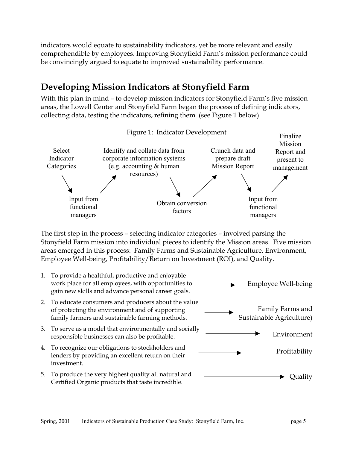indicators would equate to sustainability indicators, yet be more relevant and easily comprehendible by employees. Improving Stonyfield Farm's mission performance could be convincingly argued to equate to improved sustainability performance.

# **Developing Mission Indicators at Stonyfield Farm**

With this plan in mind – to develop mission indicators for Stonyfield Farm's five mission areas, the Lowell Center and Stonyfield Farm began the process of defining indicators, collecting data, testing the indicators, refining them (see Figure 1 below).



The first step in the process – selecting indicator categories – involved parsing the Stonyfield Farm mission into individual pieces to identify the Mission areas. Five mission areas emerged in this process: Family Farms and Sustainable Agriculture, Environment, Employee Well-being, Profitability/Return on Investment (ROI), and Quality.

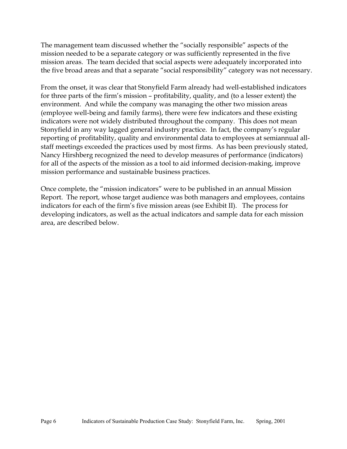The management team discussed whether the "socially responsible" aspects of the mission needed to be a separate category or was sufficiently represented in the five mission areas. The team decided that social aspects were adequately incorporated into the five broad areas and that a separate "social responsibility" category was not necessary.

From the onset, it was clear that Stonyfield Farm already had well-established indicators for three parts of the firm's mission – profitability, quality, and (to a lesser extent) the environment. And while the company was managing the other two mission areas (employee well-being and family farms), there were few indicators and these existing indicators were not widely distributed throughout the company. This does not mean Stonyfield in any way lagged general industry practice. In fact, the company's regular reporting of profitability, quality and environmental data to employees at semiannual allstaff meetings exceeded the practices used by most firms. As has been previously stated, Nancy Hirshberg recognized the need to develop measures of performance (indicators) for all of the aspects of the mission as a tool to aid informed decision-making, improve mission performance and sustainable business practices.

Once complete, the "mission indicators" were to be published in an annual Mission Report. The report, whose target audience was both managers and employees, contains indicators for each of the firm's five mission areas (see Exhibit II). The process for developing indicators, as well as the actual indicators and sample data for each mission area, are described below.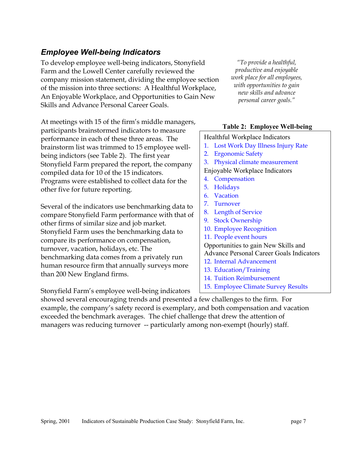## *Employee Well-being Indicators*

To develop employee well-being indicators, Stonyfield Farm and the Lowell Center carefully reviewed the company mission statement, dividing the employee section of the mission into three sections: A Healthful Workplace, An Enjoyable Workplace, and Opportunities to Gain New Skills and Advance Personal Career Goals.

At meetings with 15 of the firm's middle managers, participants brainstormed indicators to measure performance in each of these three areas. The brainstorm list was trimmed to 15 employee wellbeing indictors (see Table 2). The first year Stonyfield Farm prepared the report, the company compiled data for 10 of the 15 indicators. Programs were established to collect data for the other five for future reporting.

Several of the indicators use benchmarking data to compare Stonyfield Farm performance with that of other firms of similar size and job market. Stonyfield Farm uses the benchmarking data to compare its performance on compensation, turnover, vacation, holidays, etc. The benchmarking data comes from a privately run human resource firm that annually surveys more than 200 New England firms.

Stonyfield Farm's employee well-being indicators

*"To provide a healthful, productive and enjoyable work place for all employees, with opportunities to gain new skills and advance personal career goals."*

#### **Table 2: Employee Well-being**

#### Healthful Workplace Indicators

- 1. Lost Work Day Illness Injury Rate
- 2. Ergonomic Safety
- 3. Physical climate measurement
- Enjoyable Workplace Indicators
- 4. Compensation
- 5. Holidays
- 6. Vacation
- 7. Turnover
- 8. Length of Service
- 9. Stock Ownership
- 10. Employee Recognition
- 11. People event hours

Opportunities to gain New Skills and Advance Personal Career Goals Indicators

- 12. Internal Advancement
- 13. Education/Training
- 14. Tuition Reimbursement
- 15. Employee Climate Survey Results

showed several encouraging trends and presented a few challenges to the firm. For example, the company's safety record is exemplary, and both compensation and vacation exceeded the benchmark averages. The chief challenge that drew the attention of managers was reducing turnover -- particularly among non-exempt (hourly) staff.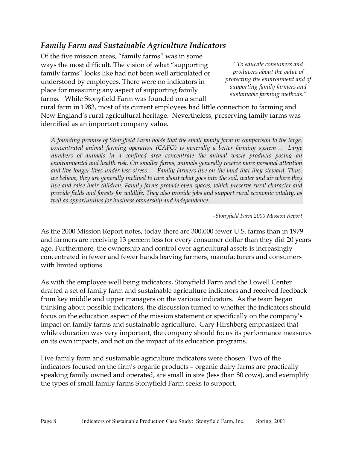## *Family Farm and Sustainable Agriculture Indicators*

Of the five mission areas, "family farms" was in some ways the most difficult. The vision of what "supporting family farms" looks like had not been well articulated or understood by employees. There were no indicators in place for measuring any aspect of supporting family farms. While Stonyfield Farm was founded on a small

*"To educate consumers and producers about the value of protecting the environment and of supporting family farmers and sustainable farming methods."*

rural farm in 1983, most of its current employees had little connection to farming and New England's rural agricultural heritage. Nevertheless, preserving family farms was identified as an important company value.

*A founding premise of Stonyfield Farm holds that the small family farm in comparison to the large, concentrated animal farming operation (CAFO) is generally a better farming system… Large numbers of animals in a confined area concentrate the animal waste products posing an environmental and health risk. On smaller farms, animals generally receive more personal attention and live longer lives under less stress… Family farmers live on the land that they steward. Thus, we believe, they are generally inclined to care about what goes into the soil, water and air where they live and raise their children. Family farms provide open spaces, which preserve rural character and provide fields and forests for wildlife. They also provide jobs and support rural economic vitality, as well as opportunities for business ownership and independence.* 

*–Stonyfield Farm 2000 Mission Report*

As the 2000 Mission Report notes, today there are 300,000 fewer U.S. farms than in 1979 and farmers are receiving 13 percent less for every consumer dollar than they did 20 years ago. Furthermore, the ownership and control over agricultural assets is increasingly concentrated in fewer and fewer hands leaving farmers, manufacturers and consumers with limited options.

As with the employee well being indicators, Stonyfield Farm and the Lowell Center drafted a set of family farm and sustainable agriculture indicators and received feedback from key middle and upper managers on the various indicators. As the team began thinking about possible indicators, the discussion turned to whether the indicators should focus on the education aspect of the mission statement or specifically on the company's impact on family farms and sustainable agriculture. Gary Hirshberg emphasized that while education was very important, the company should focus its performance measures on its own impacts, and not on the impact of its education programs.

Five family farm and sustainable agriculture indicators were chosen. Two of the indicators focused on the firm's organic products – organic dairy farms are practically speaking family owned and operated, are small in size (less than 80 cows), and exemplify the types of small family farms Stonyfield Farm seeks to support.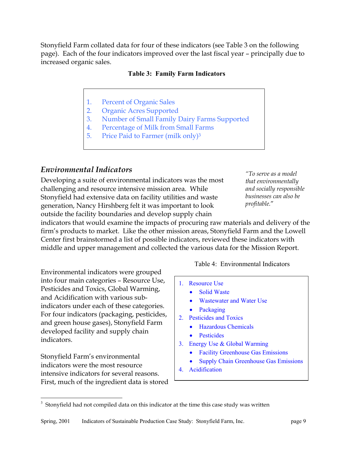Stonyfield Farm collated data for four of these indicators (see Table 3 on the following page). Each of the four indicators improved over the last fiscal year – principally due to increased organic sales.

### **Table 3: Family Farm Indicators**

- 1. Percent of Organic Sales
- 2. Organic Acres Supported
- 3. Number of Small Family Dairy Farms Supported
- 4. Percentage of Milk from Small Farms
- 5. Price Paid to Farmer (milk only)<sup>3</sup>

## *Environmental Indicators*

Developing a suite of environmental indicators was the most challenging and resource intensive mission area. While Stonyfield had extensive data on facility utilities and waste generation, Nancy Hirshberg felt it was important to look outside the facility boundaries and develop supply chain

*"To serve as a model that environmentally and socially responsible businesses can also be profitable.*"

indicators that would examine the impacts of procuring raw materials and delivery of the firm's products to market. Like the other mission areas, Stonyfield Farm and the Lowell Center first brainstormed a list of possible indicators, reviewed these indicators with middle and upper management and collected the various data for the Mission Report.

Environmental indicators were grouped into four main categories – Resource Use, Pesticides and Toxics, Global Warming, and Acidification with various subindicators under each of these categories. For four indicators (packaging, pesticides, and green house gases), Stonyfield Farm developed facility and supply chain indicators.

Stonyfield Farm's environmental indicators were the most resource intensive indicators for several reasons. First, much of the ingredient data is stored

 $\overline{a}$ 

Table 4: Environmental Indicators

- 1. Resource Use
	- Solid Waste
	- Wastewater and Water Use
	- **Packaging**
- 2. Pesticides and Toxics
	- Hazardous Chemicals
	- Pesticides
- 3. Energy Use & Global Warming
	- Facility Greenhouse Gas Emissions
	- Supply Chain Greenhouse Gas Emissions
- 4. Acidification

 $3$  Stonyfield had not compiled data on this indicator at the time this case study was written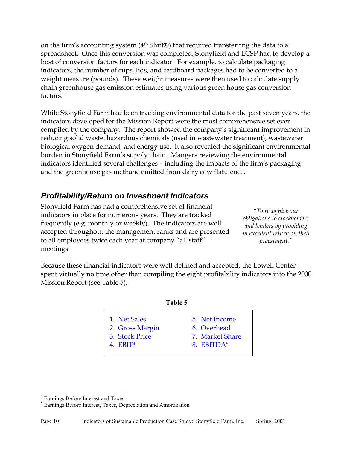on the firm's accounting system (4th Shift®) that required transferring the data to a spreadsheet. Once this conversion was completed, Stonyfield and LCSP had to develop a host of conversion factors for each indicator. For example, to calculate packaging indicators, the number of cups, lids, and cardboard packages had to be converted to a weight measure (pounds). These weight measures were then used to calculate supply chain greenhouse gas emission estimates using various green house gas conversion factors.

While Stonyfield Farm had been tracking environmental data for the past seven years, the indicators developed for the Mission Report were the most comprehensive set ever compiled by the company. The report showed the company's significant improvement in reducing solid waste, hazardous chemicals (used in wastewater treatment), wastewater biological oxygen demand, and energy use. It also revealed the significant environmental burden in Stonyfield Farm's supply chain. Mangers reviewing the environmental indicators identified several challenges – including the impacts of the firm's packaging and the greenhouse gas methane emitted from dairy cow flatulence.

## *Profitability/Return on Investment Indicators*

Stonyfield Farm has had a comprehensive set of financial indicators in place for numerous years. They are tracked frequently (e.g. monthly or weekly). The indicators are well accepted throughout the management ranks and are presented to all employees twice each year at company "all staff" meetings.

*"To recognize our obligations to stockholders and lenders by providing an excellent return on their investment."* 

Because these financial indicators were well defined and accepted, the Lowell Center spent virtually no time other than compiling the eight profitability indicators into the 2000 Mission Report (see Table 5).

| 1. Net Sales    | 5. Net Income          |
|-----------------|------------------------|
| 2. Gross Margin | 6. Overhead            |
| 3. Stock Price  | 7. Market Share        |
| 4. $EBIT4$      | 8. EBITDA <sup>5</sup> |

 $\overline{a}$ 

<sup>4</sup> Earnings Before Interest and Taxes

<sup>&</sup>lt;sup>5</sup> Earnings Before Interest, Taxes, Depreciation and Amortization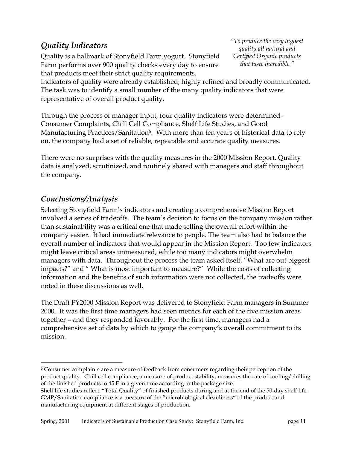## *Quality Indicators*

Quality is a hallmark of Stonyfield Farm yogurt. Stonyfield Farm performs over 900 quality checks every day to ensure that products meet their strict quality requirements.

*"To produce the very highest quality all natural and Certified Organic products that taste incredible."* 

Indicators of quality were already established, highly refined and broadly communicated. The task was to identify a small number of the many quality indicators that were representative of overall product quality.

Through the process of manager input, four quality indicators were determined– Consumer Complaints, Chill Cell Compliance, Shelf Life Studies, and Good Manufacturing Practices/Sanitation<sup>6</sup>. With more than ten years of historical data to rely on, the company had a set of reliable, repeatable and accurate quality measures.

There were no surprises with the quality measures in the 2000 Mission Report. Quality data is analyzed, scrutinized, and routinely shared with managers and staff throughout the company.

## *Conclusions/Analysis*

 $\overline{a}$ 

Selecting Stonyfield Farm's indicators and creating a comprehensive Mission Report involved a series of tradeoffs. The team's decision to focus on the company mission rather than sustainability was a critical one that made selling the overall effort within the company easier. It had immediate relevance to people. The team also had to balance the overall number of indicators that would appear in the Mission Report. Too few indicators might leave critical areas unmeasured, while too many indicators might overwhelm managers with data. Throughout the process the team asked itself, "What are out biggest impacts?" and " What is most important to measure?" While the costs of collecting information and the benefits of such information were not collected, the tradeoffs were noted in these discussions as well.

The Draft FY2000 Mission Report was delivered to Stonyfield Farm managers in Summer 2000. It was the first time managers had seen metrics for each of the five mission areas together – and they responded favorably. For the first time, managers had a comprehensive set of data by which to gauge the company's overall commitment to its mission.

<sup>6</sup> Consumer complaints are a measure of feedback from consumers regarding their perception of the product quality. Chill cell compliance, a measure of product stability, measures the rate of cooling/chilling of the finished products to 45 F in a given time according to the package size.

Shelf life studies reflect "Total Quality" of finished products during and at the end of the 50-day shelf life. GMP/Sanitation compliance is a measure of the "microbiological cleanliness" of the product and manufacturing equipment at different stages of production.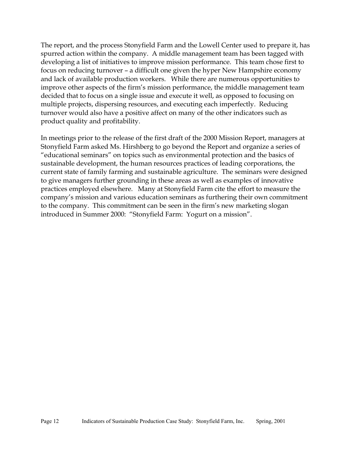The report, and the process Stonyfield Farm and the Lowell Center used to prepare it, has spurred action within the company. A middle management team has been tagged with developing a list of initiatives to improve mission performance. This team chose first to focus on reducing turnover – a difficult one given the hyper New Hampshire economy and lack of available production workers. While there are numerous opportunities to improve other aspects of the firm's mission performance, the middle management team decided that to focus on a single issue and execute it well, as opposed to focusing on multiple projects, dispersing resources, and executing each imperfectly. Reducing turnover would also have a positive affect on many of the other indicators such as product quality and profitability.

In meetings prior to the release of the first draft of the 2000 Mission Report, managers at Stonyfield Farm asked Ms. Hirshberg to go beyond the Report and organize a series of "educational seminars" on topics such as environmental protection and the basics of sustainable development, the human resources practices of leading corporations, the current state of family farming and sustainable agriculture. The seminars were designed to give managers further grounding in these areas as well as examples of innovative practices employed elsewhere. Many at Stonyfield Farm cite the effort to measure the company's mission and various education seminars as furthering their own commitment to the company. This commitment can be seen in the firm's new marketing slogan introduced in Summer 2000: "Stonyfield Farm: Yogurt on a mission".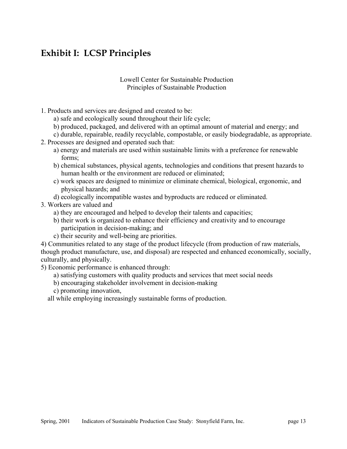# **Exhibit I: LCSP Principles**

#### Lowell Center for Sustainable Production Principles of Sustainable Production

- 1. Products and services are designed and created to be:
	- a) safe and ecologically sound throughout their life cycle;
	- b) produced, packaged, and delivered with an optimal amount of material and energy; and
	- c) durable, repairable, readily recyclable, compostable, or easily biodegradable, as appropriate.
- 2. Processes are designed and operated such that:
	- a) energy and materials are used within sustainable limits with a preference for renewable forms;
	- b) chemical substances, physical agents, technologies and conditions that present hazards to human health or the environment are reduced or eliminated;
	- c) work spaces are designed to minimize or eliminate chemical, biological, ergonomic, and physical hazards; and
	- d) ecologically incompatible wastes and byproducts are reduced or eliminated.
- 3. Workers are valued and
	- a) they are encouraged and helped to develop their talents and capacities;
	- b) their work is organized to enhance their efficiency and creativity and to encourage participation in decision-making; and
	- c) their security and well-being are priorities.

4) Communities related to any stage of the product lifecycle (from production of raw materials, though product manufacture, use, and disposal) are respected and enhanced economically, socially, culturally, and physically.

- 5) Economic performance is enhanced through:
	- a) satisfying customers with quality products and services that meet social needs
	- b) encouraging stakeholder involvement in decision-making
	- c) promoting innovation,

all while employing increasingly sustainable forms of production.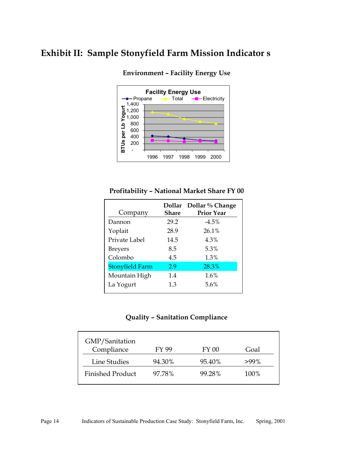## **Exhibit II: Sample Stonyfield Farm Mission Indicator s**



**Environment – Facility Energy Use** 

### **Profitability – National Market Share FY 00**

| Company                | Share | Dollar Dollar % Change<br><b>Prior Year</b> |
|------------------------|-------|---------------------------------------------|
| Dannon                 | 29.2  | $-4.5\%$                                    |
| Yoplait                | 28.9  | 26.1%                                       |
| Private Label          | 14.5  | 4.3%                                        |
| <b>Breyers</b>         | 8.5   | 5.3%                                        |
| Colombo                | 4.5   | 1.3%                                        |
| <b>Stonyfield Farm</b> | 2.9   | 28.3%                                       |
| Mountain High          | 1.4   | 1.6%                                        |
| La Yogurt              | 1.3   | 5.6%                                        |

### **Quality – Sanitation Compliance**

| GMP/Sanitation          |        |        |      |
|-------------------------|--------|--------|------|
| Compliance              | FY 99  | FY 00  | Goal |
| Line Studies            | 94.30% | 95.40% | >99% |
| <b>Finished Product</b> | 97.78% | 99.28% | 100% |